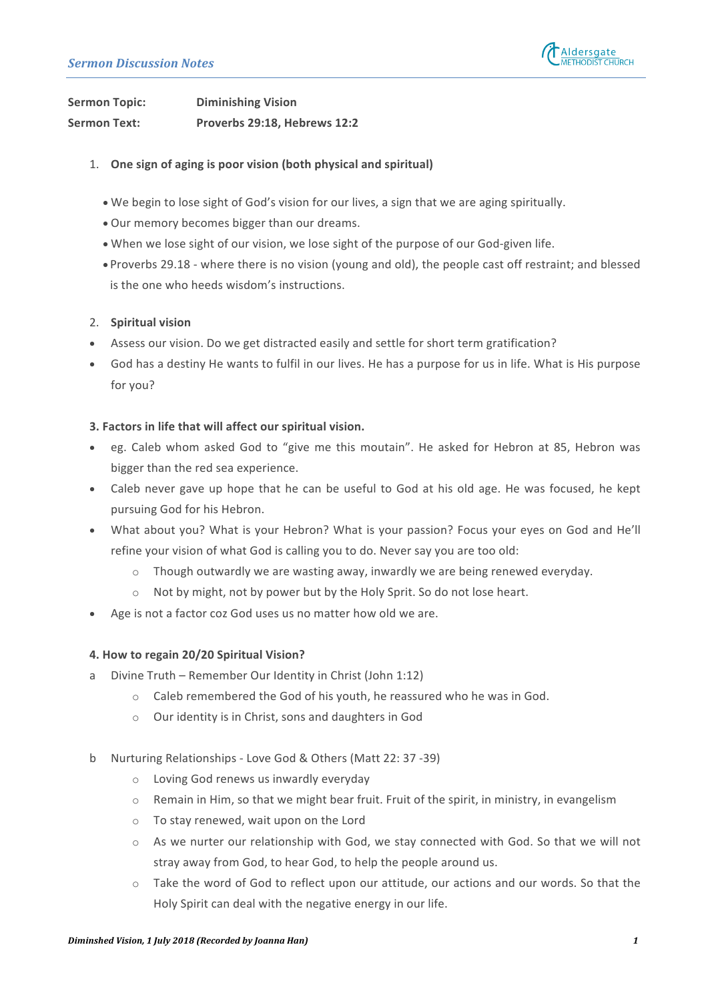

**Sermon Topic: Diminishing Vision** Sermon Text: Proverbs 29:18, Hebrews 12:2

- 1. One sign of aging is poor vision (both physical and spiritual)
	- We begin to lose sight of God's vision for our lives, a sign that we are aging spiritually.
	- Our memory becomes bigger than our dreams.
	- When we lose sight of our vision, we lose sight of the purpose of our God-given life.
	- Proverbs 29.18 where there is no vision (young and old), the people cast off restraint; and blessed is the one who heeds wisdom's instructions.

### 2. **Spiritual vision**

- Assess our vision. Do we get distracted easily and settle for short term gratification?
- God has a destiny He wants to fulfil in our lives. He has a purpose for us in life. What is His purpose for you?

### **3. Factors in life that will affect our spiritual vision.**

- eg. Caleb whom asked God to "give me this moutain". He asked for Hebron at 85, Hebron was bigger than the red sea experience.
- Caleb never gave up hope that he can be useful to God at his old age. He was focused, he kept pursuing God for his Hebron.
- What about you? What is your Hebron? What is your passion? Focus your eyes on God and He'll refine your vision of what God is calling you to do. Never say you are too old:
	- $\circ$  Though outwardly we are wasting away, inwardly we are being renewed everyday.
	- $\circ$  Not by might, not by power but by the Holy Sprit. So do not lose heart.
- Age is not a factor coz God uses us no matter how old we are.

### **4. How to regain 20/20 Spiritual Vision?**

- a Divine Truth Remember Our Identity in Christ (John 1:12)
	- $\circ$  Caleb remembered the God of his youth, he reassured who he was in God.
	- $\circ$  Our identity is in Christ, sons and daughters in God
- b Nurturing Relationships Love God & Others (Matt 22: 37 -39)
	- $\circ$  Loving God renews us inwardly everyday
	- $\circ$  Remain in Him, so that we might bear fruit. Fruit of the spirit, in ministry, in evangelism
	- $\circ$  To stay renewed, wait upon on the Lord
	- $\circ$  As we nurter our relationship with God, we stay connected with God. So that we will not stray away from God, to hear God, to help the people around us.
	- $\circ$  Take the word of God to reflect upon our attitude, our actions and our words. So that the Holy Spirit can deal with the negative energy in our life.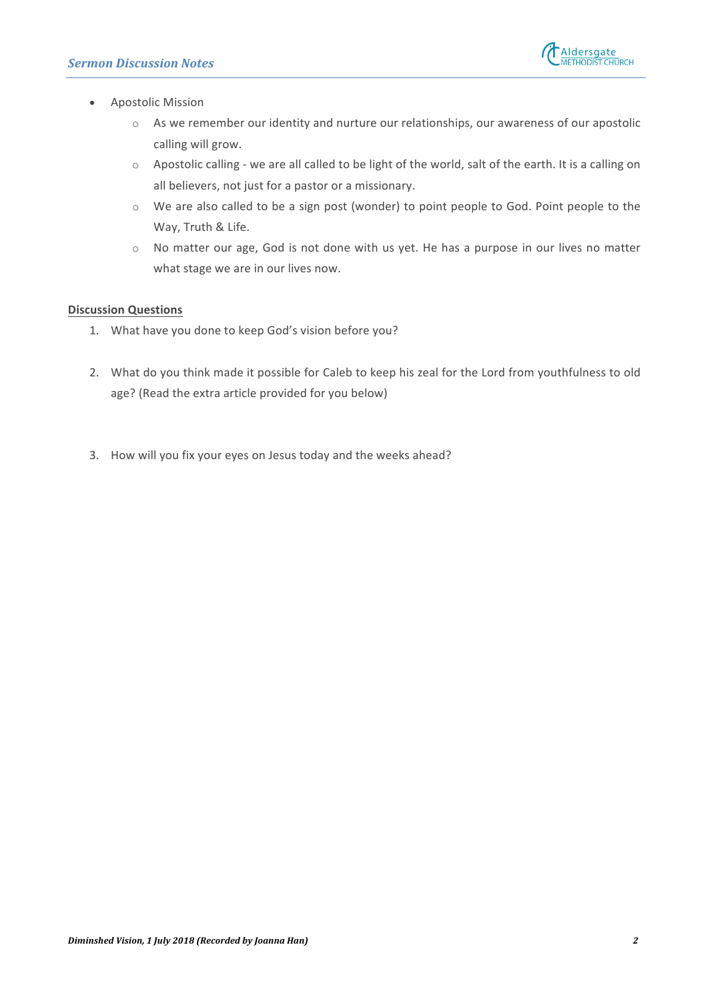

- Apostolic Mission
	- $\circ$  As we remember our identity and nurture our relationships, our awareness of our apostolic calling will grow.
	- $\circ$  Apostolic calling we are all called to be light of the world, salt of the earth. It is a calling on all believers, not just for a pastor or a missionary.
	- $\circ$  We are also called to be a sign post (wonder) to point people to God. Point people to the Way, Truth & Life.
	- o No matter our age, God is not done with us yet. He has a purpose in our lives no matter what stage we are in our lives now.

## **Discussion Questions**

- 1. What have you done to keep God's vision before you?
- 2. What do you think made it possible for Caleb to keep his zeal for the Lord from youthfulness to old age? (Read the extra article provided for you below)
- 3. How will you fix your eyes on Jesus today and the weeks ahead?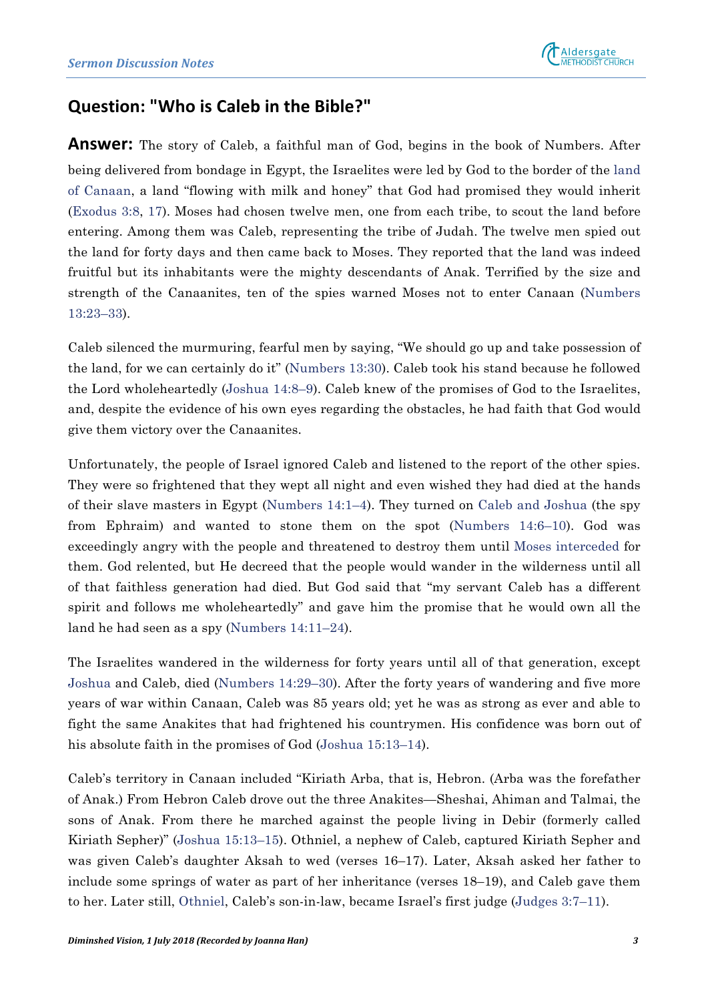

# **Question: "Who is Caleb in the Bible?"**

**Answer:** The story of Caleb, a faithful man of God, begins in the book of Numbers. After being delivered from bondage in Egypt, the Israelites were led by God to the border of the land of Canaan, a land "flowing with milk and honey" that God had promised they would inherit (Exodus 3:8, 17). Moses had chosen twelve men, one from each tribe, to scout the land before entering. Among them was Caleb, representing the tribe of Judah. The twelve men spied out the land for forty days and then came back to Moses. They reported that the land was indeed fruitful but its inhabitants were the mighty descendants of Anak. Terrified by the size and strength of the Canaanites, ten of the spies warned Moses not to enter Canaan (Numbers 13:23–33).

Caleb silenced the murmuring, fearful men by saying, "We should go up and take possession of the land, for we can certainly do it" (Numbers 13:30). Caleb took his stand because he followed the Lord wholeheartedly (Joshua 14:8–9). Caleb knew of the promises of God to the Israelites, and, despite the evidence of his own eyes regarding the obstacles, he had faith that God would give them victory over the Canaanites.

Unfortunately, the people of Israel ignored Caleb and listened to the report of the other spies. They were so frightened that they wept all night and even wished they had died at the hands of their slave masters in Egypt (Numbers 14:1–4). They turned on Caleb and Joshua (the spy from Ephraim) and wanted to stone them on the spot (Numbers 14:6–10). God was exceedingly angry with the people and threatened to destroy them until Moses interceded for them. God relented, but He decreed that the people would wander in the wilderness until all of that faithless generation had died. But God said that "my servant Caleb has a different spirit and follows me wholeheartedly" and gave him the promise that he would own all the land he had seen as a spy (Numbers 14:11–24).

The Israelites wandered in the wilderness for forty years until all of that generation, except Joshua and Caleb, died (Numbers 14:29–30). After the forty years of wandering and five more years of war within Canaan, Caleb was 85 years old; yet he was as strong as ever and able to fight the same Anakites that had frightened his countrymen. His confidence was born out of his absolute faith in the promises of God (Joshua 15:13–14).

Caleb's territory in Canaan included "Kiriath Arba, that is, Hebron. (Arba was the forefather of Anak.) From Hebron Caleb drove out the three Anakites—Sheshai, Ahiman and Talmai, the sons of Anak. From there he marched against the people living in Debir (formerly called Kiriath Sepher)" (Joshua 15:13–15). Othniel, a nephew of Caleb, captured Kiriath Sepher and was given Caleb's daughter Aksah to wed (verses 16–17). Later, Aksah asked her father to include some springs of water as part of her inheritance (verses 18–19), and Caleb gave them to her. Later still, Othniel, Caleb's son-in-law, became Israel's first judge (Judges 3:7–11).